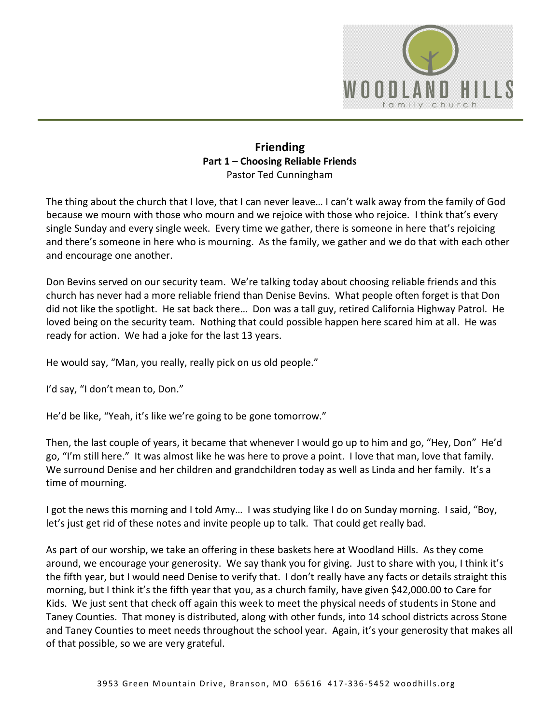

## **Friending Part 1 – Choosing Reliable Friends**  Pastor Ted Cunningham

The thing about the church that I love, that I can never leave… I can't walk away from the family of God because we mourn with those who mourn and we rejoice with those who rejoice. I think that's every single Sunday and every single week. Every time we gather, there is someone in here that's rejoicing and there's someone in here who is mourning. As the family, we gather and we do that with each other and encourage one another.

Don Bevins served on our security team. We're talking today about choosing reliable friends and this church has never had a more reliable friend than Denise Bevins. What people often forget is that Don did not like the spotlight. He sat back there… Don was a tall guy, retired California Highway Patrol. He loved being on the security team. Nothing that could possible happen here scared him at all. He was ready for action. We had a joke for the last 13 years.

He would say, "Man, you really, really pick on us old people."

I'd say, "I don't mean to, Don."

He'd be like, "Yeah, it's like we're going to be gone tomorrow."

Then, the last couple of years, it became that whenever I would go up to him and go, "Hey, Don" He'd go, "I'm still here." It was almost like he was here to prove a point. I love that man, love that family. We surround Denise and her children and grandchildren today as well as Linda and her family. It's a time of mourning.

I got the news this morning and I told Amy… I was studying like I do on Sunday morning. I said, "Boy, let's just get rid of these notes and invite people up to talk. That could get really bad.

As part of our worship, we take an offering in these baskets here at Woodland Hills. As they come around, we encourage your generosity. We say thank you for giving. Just to share with you, I think it's the fifth year, but I would need Denise to verify that. I don't really have any facts or details straight this morning, but I think it's the fifth year that you, as a church family, have given \$42,000.00 to Care for Kids. We just sent that check off again this week to meet the physical needs of students in Stone and Taney Counties. That money is distributed, along with other funds, into 14 school districts across Stone and Taney Counties to meet needs throughout the school year. Again, it's your generosity that makes all of that possible, so we are very grateful.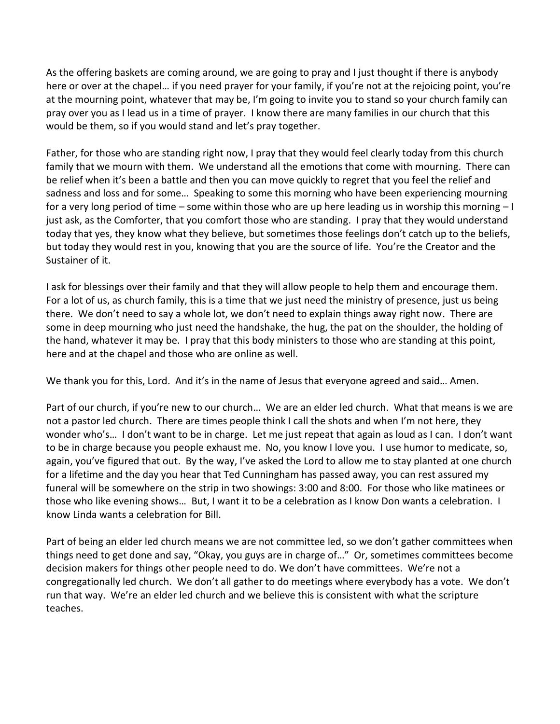As the offering baskets are coming around, we are going to pray and I just thought if there is anybody here or over at the chapel… if you need prayer for your family, if you're not at the rejoicing point, you're at the mourning point, whatever that may be, I'm going to invite you to stand so your church family can pray over you as I lead us in a time of prayer. I know there are many families in our church that this would be them, so if you would stand and let's pray together.

Father, for those who are standing right now, I pray that they would feel clearly today from this church family that we mourn with them. We understand all the emotions that come with mourning. There can be relief when it's been a battle and then you can move quickly to regret that you feel the relief and sadness and loss and for some… Speaking to some this morning who have been experiencing mourning for a very long period of time – some within those who are up here leading us in worship this morning – I just ask, as the Comforter, that you comfort those who are standing. I pray that they would understand today that yes, they know what they believe, but sometimes those feelings don't catch up to the beliefs, but today they would rest in you, knowing that you are the source of life. You're the Creator and the Sustainer of it.

I ask for blessings over their family and that they will allow people to help them and encourage them. For a lot of us, as church family, this is a time that we just need the ministry of presence, just us being there. We don't need to say a whole lot, we don't need to explain things away right now. There are some in deep mourning who just need the handshake, the hug, the pat on the shoulder, the holding of the hand, whatever it may be. I pray that this body ministers to those who are standing at this point, here and at the chapel and those who are online as well.

We thank you for this, Lord. And it's in the name of Jesus that everyone agreed and said… Amen.

Part of our church, if you're new to our church… We are an elder led church. What that means is we are not a pastor led church. There are times people think I call the shots and when I'm not here, they wonder who's… I don't want to be in charge. Let me just repeat that again as loud as I can. I don't want to be in charge because you people exhaust me. No, you know I love you. I use humor to medicate, so, again, you've figured that out. By the way, I've asked the Lord to allow me to stay planted at one church for a lifetime and the day you hear that Ted Cunningham has passed away, you can rest assured my funeral will be somewhere on the strip in two showings: 3:00 and 8:00. For those who like matinees or those who like evening shows… But, I want it to be a celebration as I know Don wants a celebration. I know Linda wants a celebration for Bill.

Part of being an elder led church means we are not committee led, so we don't gather committees when things need to get done and say, "Okay, you guys are in charge of…" Or, sometimes committees become decision makers for things other people need to do. We don't have committees. We're not a congregationally led church. We don't all gather to do meetings where everybody has a vote. We don't run that way. We're an elder led church and we believe this is consistent with what the scripture teaches.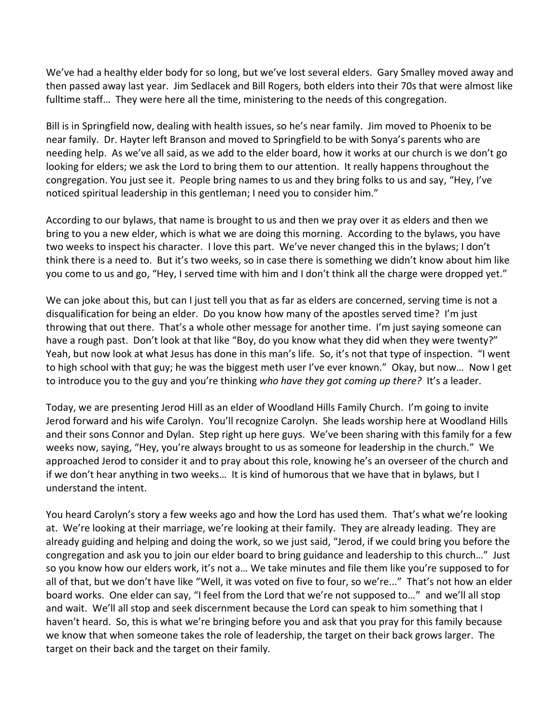We've had a healthy elder body for so long, but we've lost several elders. Gary Smalley moved away and then passed away last year. Jim Sedlacek and Bill Rogers, both elders into their 70s that were almost like fulltime staff… They were here all the time, ministering to the needs of this congregation.

Bill is in Springfield now, dealing with health issues, so he's near family. Jim moved to Phoenix to be near family. Dr. Hayter left Branson and moved to Springfield to be with Sonya's parents who are needing help. As we've all said, as we add to the elder board, how it works at our church is we don't go looking for elders; we ask the Lord to bring them to our attention. It really happens throughout the congregation. You just see it. People bring names to us and they bring folks to us and say, "Hey, I've noticed spiritual leadership in this gentleman; I need you to consider him."

According to our bylaws, that name is brought to us and then we pray over it as elders and then we bring to you a new elder, which is what we are doing this morning. According to the bylaws, you have two weeks to inspect his character. I love this part. We've never changed this in the bylaws; I don't think there is a need to. But it's two weeks, so in case there is something we didn't know about him like you come to us and go, "Hey, I served time with him and I don't think all the charge were dropped yet."

We can joke about this, but can I just tell you that as far as elders are concerned, serving time is not a disqualification for being an elder. Do you know how many of the apostles served time? I'm just throwing that out there. That's a whole other message for another time. I'm just saying someone can have a rough past. Don't look at that like "Boy, do you know what they did when they were twenty?" Yeah, but now look at what Jesus has done in this man's life. So, it's not that type of inspection. "I went to high school with that guy; he was the biggest meth user I've ever known." Okay, but now… Now I get to introduce you to the guy and you're thinking *who have they got coming up there?* It's a leader.

Today, we are presenting Jerod Hill as an elder of Woodland Hills Family Church. I'm going to invite Jerod forward and his wife Carolyn. You'll recognize Carolyn. She leads worship here at Woodland Hills and their sons Connor and Dylan. Step right up here guys. We've been sharing with this family for a few weeks now, saying, "Hey, you're always brought to us as someone for leadership in the church." We approached Jerod to consider it and to pray about this role, knowing he's an overseer of the church and if we don't hear anything in two weeks… It is kind of humorous that we have that in bylaws, but I understand the intent.

You heard Carolyn's story a few weeks ago and how the Lord has used them. That's what we're looking at. We're looking at their marriage, we're looking at their family. They are already leading. They are already guiding and helping and doing the work, so we just said, "Jerod, if we could bring you before the congregation and ask you to join our elder board to bring guidance and leadership to this church…" Just so you know how our elders work, it's not a… We take minutes and file them like you're supposed to for all of that, but we don't have like "Well, it was voted on five to four, so we're..." That's not how an elder board works. One elder can say, "I feel from the Lord that we're not supposed to…" and we'll all stop and wait. We'll all stop and seek discernment because the Lord can speak to him something that I haven't heard. So, this is what we're bringing before you and ask that you pray for this family because we know that when someone takes the role of leadership, the target on their back grows larger. The target on their back and the target on their family.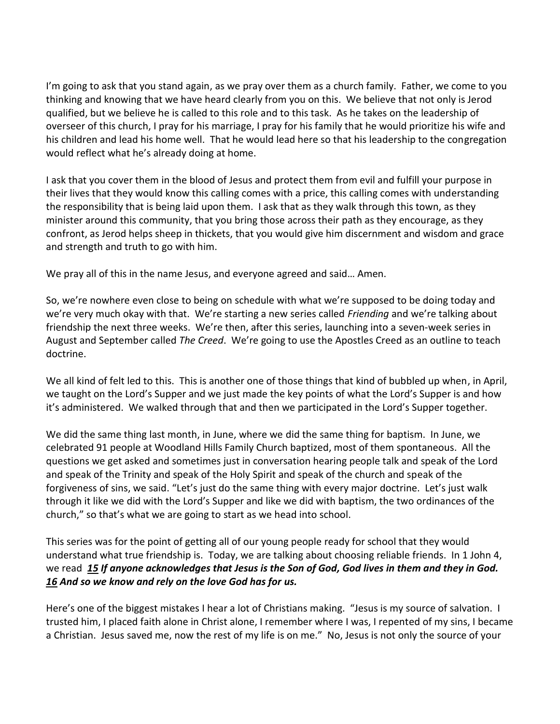I'm going to ask that you stand again, as we pray over them as a church family. Father, we come to you thinking and knowing that we have heard clearly from you on this. We believe that not only is Jerod qualified, but we believe he is called to this role and to this task. As he takes on the leadership of overseer of this church, I pray for his marriage, I pray for his family that he would prioritize his wife and his children and lead his home well. That he would lead here so that his leadership to the congregation would reflect what he's already doing at home.

I ask that you cover them in the blood of Jesus and protect them from evil and fulfill your purpose in their lives that they would know this calling comes with a price, this calling comes with understanding the responsibility that is being laid upon them. I ask that as they walk through this town, as they minister around this community, that you bring those across their path as they encourage, as they confront, as Jerod helps sheep in thickets, that you would give him discernment and wisdom and grace and strength and truth to go with him.

We pray all of this in the name Jesus, and everyone agreed and said… Amen.

So, we're nowhere even close to being on schedule with what we're supposed to be doing today and we're very much okay with that. We're starting a new series called *Friending* and we're talking about friendship the next three weeks. We're then, after this series, launching into a seven-week series in August and September called *The Creed*. We're going to use the Apostles Creed as an outline to teach doctrine.

We all kind of felt led to this. This is another one of those things that kind of bubbled up when, in April, we taught on the Lord's Supper and we just made the key points of what the Lord's Supper is and how it's administered. We walked through that and then we participated in the Lord's Supper together.

We did the same thing last month, in June, where we did the same thing for baptism. In June, we celebrated 91 people at Woodland Hills Family Church baptized, most of them spontaneous. All the questions we get asked and sometimes just in conversation hearing people talk and speak of the Lord and speak of the Trinity and speak of the Holy Spirit and speak of the church and speak of the forgiveness of sins, we said. "Let's just do the same thing with every major doctrine. Let's just walk through it like we did with the Lord's Supper and like we did with baptism, the two ordinances of the church," so that's what we are going to start as we head into school.

This series was for the point of getting all of our young people ready for school that they would understand what true friendship is. Today, we are talking about choosing reliable friends. In 1 John 4, we read *[15](http://www.studylight.org/desk/?q=1jo%204:15&t1=en_niv&sr=1) If anyone acknowledges that Jesus is the Son of God, God lives in them and they in God. [16](http://www.studylight.org/desk/?q=1jo%204:16&t1=en_niv&sr=1) And so we know and rely on the love God has for us.*

Here's one of the biggest mistakes I hear a lot of Christians making. "Jesus is my source of salvation. I trusted him, I placed faith alone in Christ alone, I remember where I was, I repented of my sins, I became a Christian. Jesus saved me, now the rest of my life is on me." No, Jesus is not only the source of your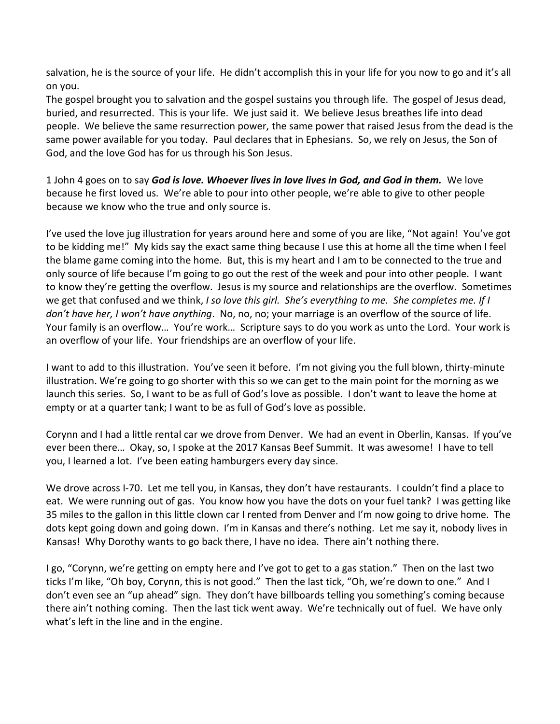salvation, he is the source of your life. He didn't accomplish this in your life for you now to go and it's all on you.

The gospel brought you to salvation and the gospel sustains you through life. The gospel of Jesus dead, buried, and resurrected. This is your life. We just said it. We believe Jesus breathes life into dead people. We believe the same resurrection power, the same power that raised Jesus from the dead is the same power available for you today. Paul declares that in Ephesians. So, we rely on Jesus, the Son of God, and the love God has for us through his Son Jesus.

1 John 4 goes on to say *God is love. Whoever lives in love lives in God, and God in them.*We love because he first loved us. We're able to pour into other people, we're able to give to other people because we know who the true and only source is.

I've used the love jug illustration for years around here and some of you are like, "Not again! You've got to be kidding me!" My kids say the exact same thing because I use this at home all the time when I feel the blame game coming into the home. But, this is my heart and I am to be connected to the true and only source of life because I'm going to go out the rest of the week and pour into other people. I want to know they're getting the overflow. Jesus is my source and relationships are the overflow. Sometimes we get that confused and we think, *I so love this girl. She's everything to me. She completes me. If I don't have her, I won't have anything*. No, no, no; your marriage is an overflow of the source of life. Your family is an overflow… You're work… Scripture says to do you work as unto the Lord. Your work is an overflow of your life. Your friendships are an overflow of your life.

I want to add to this illustration. You've seen it before. I'm not giving you the full blown, thirty-minute illustration. We're going to go shorter with this so we can get to the main point for the morning as we launch this series. So, I want to be as full of God's love as possible. I don't want to leave the home at empty or at a quarter tank; I want to be as full of God's love as possible.

Corynn and I had a little rental car we drove from Denver. We had an event in Oberlin, Kansas. If you've ever been there… Okay, so, I spoke at the 2017 Kansas Beef Summit. It was awesome! I have to tell you, I learned a lot. I've been eating hamburgers every day since.

We drove across I-70. Let me tell you, in Kansas, they don't have restaurants. I couldn't find a place to eat. We were running out of gas. You know how you have the dots on your fuel tank? I was getting like 35 miles to the gallon in this little clown car I rented from Denver and I'm now going to drive home. The dots kept going down and going down. I'm in Kansas and there's nothing. Let me say it, nobody lives in Kansas! Why Dorothy wants to go back there, I have no idea. There ain't nothing there.

I go, "Corynn, we're getting on empty here and I've got to get to a gas station." Then on the last two ticks I'm like, "Oh boy, Corynn, this is not good." Then the last tick, "Oh, we're down to one." And I don't even see an "up ahead" sign. They don't have billboards telling you something's coming because there ain't nothing coming. Then the last tick went away. We're technically out of fuel. We have only what's left in the line and in the engine.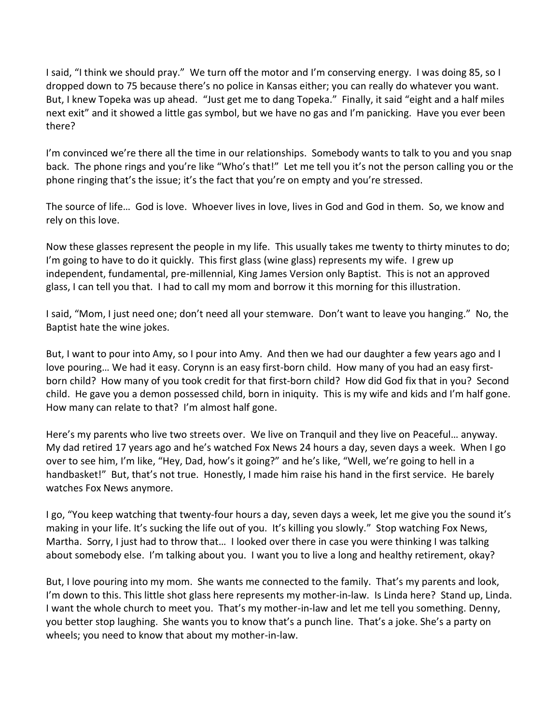I said, "I think we should pray." We turn off the motor and I'm conserving energy. I was doing 85, so I dropped down to 75 because there's no police in Kansas either; you can really do whatever you want. But, I knew Topeka was up ahead. "Just get me to dang Topeka." Finally, it said "eight and a half miles next exit" and it showed a little gas symbol, but we have no gas and I'm panicking. Have you ever been there?

I'm convinced we're there all the time in our relationships. Somebody wants to talk to you and you snap back. The phone rings and you're like "Who's that!" Let me tell you it's not the person calling you or the phone ringing that's the issue; it's the fact that you're on empty and you're stressed.

The source of life… God is love. Whoever lives in love, lives in God and God in them. So, we know and rely on this love.

Now these glasses represent the people in my life. This usually takes me twenty to thirty minutes to do; I'm going to have to do it quickly. This first glass (wine glass) represents my wife. I grew up independent, fundamental, pre-millennial, King James Version only Baptist. This is not an approved glass, I can tell you that. I had to call my mom and borrow it this morning for this illustration.

I said, "Mom, I just need one; don't need all your stemware. Don't want to leave you hanging." No, the Baptist hate the wine jokes.

But, I want to pour into Amy, so I pour into Amy. And then we had our daughter a few years ago and I love pouring… We had it easy. Corynn is an easy first-born child. How many of you had an easy firstborn child? How many of you took credit for that first-born child? How did God fix that in you? Second child. He gave you a demon possessed child, born in iniquity. This is my wife and kids and I'm half gone. How many can relate to that? I'm almost half gone.

Here's my parents who live two streets over. We live on Tranquil and they live on Peaceful… anyway. My dad retired 17 years ago and he's watched Fox News 24 hours a day, seven days a week. When I go over to see him, I'm like, "Hey, Dad, how's it going?" and he's like, "Well, we're going to hell in a handbasket!" But, that's not true. Honestly, I made him raise his hand in the first service. He barely watches Fox News anymore.

I go, "You keep watching that twenty-four hours a day, seven days a week, let me give you the sound it's making in your life. It's sucking the life out of you. It's killing you slowly." Stop watching Fox News, Martha. Sorry, I just had to throw that… I looked over there in case you were thinking I was talking about somebody else. I'm talking about you. I want you to live a long and healthy retirement, okay?

But, I love pouring into my mom. She wants me connected to the family. That's my parents and look, I'm down to this. This little shot glass here represents my mother-in-law. Is Linda here? Stand up, Linda. I want the whole church to meet you. That's my mother-in-law and let me tell you something. Denny, you better stop laughing. She wants you to know that's a punch line. That's a joke. She's a party on wheels; you need to know that about my mother-in-law.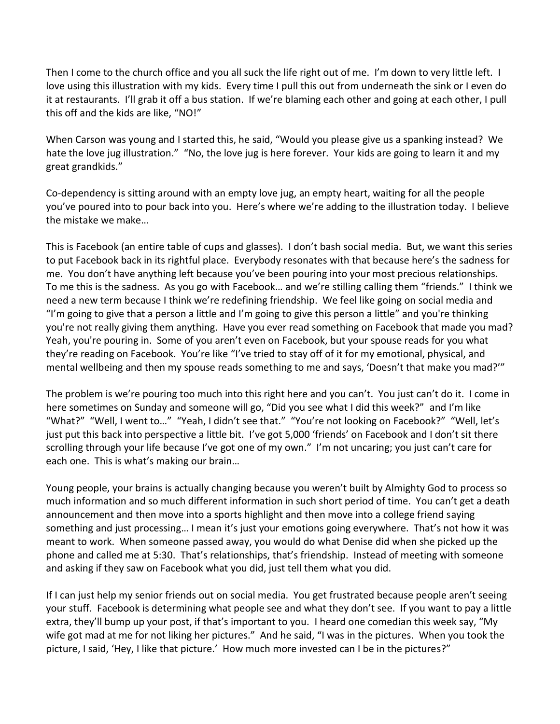Then I come to the church office and you all suck the life right out of me. I'm down to very little left. I love using this illustration with my kids. Every time I pull this out from underneath the sink or I even do it at restaurants. I'll grab it off a bus station. If we're blaming each other and going at each other, I pull this off and the kids are like, "NO!"

When Carson was young and I started this, he said, "Would you please give us a spanking instead? We hate the love jug illustration." "No, the love jug is here forever. Your kids are going to learn it and my great grandkids."

Co-dependency is sitting around with an empty love jug, an empty heart, waiting for all the people you've poured into to pour back into you. Here's where we're adding to the illustration today. I believe the mistake we make…

This is Facebook (an entire table of cups and glasses). I don't bash social media. But, we want this series to put Facebook back in its rightful place. Everybody resonates with that because here's the sadness for me. You don't have anything left because you've been pouring into your most precious relationships. To me this is the sadness. As you go with Facebook… and we're stilling calling them "friends." I think we need a new term because I think we're redefining friendship. We feel like going on social media and "I'm going to give that a person a little and I'm going to give this person a little" and you're thinking you're not really giving them anything. Have you ever read something on Facebook that made you mad? Yeah, you're pouring in. Some of you aren't even on Facebook, but your spouse reads for you what they're reading on Facebook. You're like "I've tried to stay off of it for my emotional, physical, and mental wellbeing and then my spouse reads something to me and says, 'Doesn't that make you mad?'"

The problem is we're pouring too much into this right here and you can't. You just can't do it. I come in here sometimes on Sunday and someone will go, "Did you see what I did this week?" and I'm like "What?" "Well, I went to…" "Yeah, I didn't see that." "You're not looking on Facebook?" "Well, let's just put this back into perspective a little bit. I've got 5,000 'friends' on Facebook and I don't sit there scrolling through your life because I've got one of my own." I'm not uncaring; you just can't care for each one. This is what's making our brain…

Young people, your brains is actually changing because you weren't built by Almighty God to process so much information and so much different information in such short period of time. You can't get a death announcement and then move into a sports highlight and then move into a college friend saying something and just processing… I mean it's just your emotions going everywhere. That's not how it was meant to work. When someone passed away, you would do what Denise did when she picked up the phone and called me at 5:30. That's relationships, that's friendship. Instead of meeting with someone and asking if they saw on Facebook what you did, just tell them what you did.

If I can just help my senior friends out on social media. You get frustrated because people aren't seeing your stuff. Facebook is determining what people see and what they don't see. If you want to pay a little extra, they'll bump up your post, if that's important to you. I heard one comedian this week say, "My wife got mad at me for not liking her pictures." And he said, "I was in the pictures. When you took the picture, I said, 'Hey, I like that picture.' How much more invested can I be in the pictures?"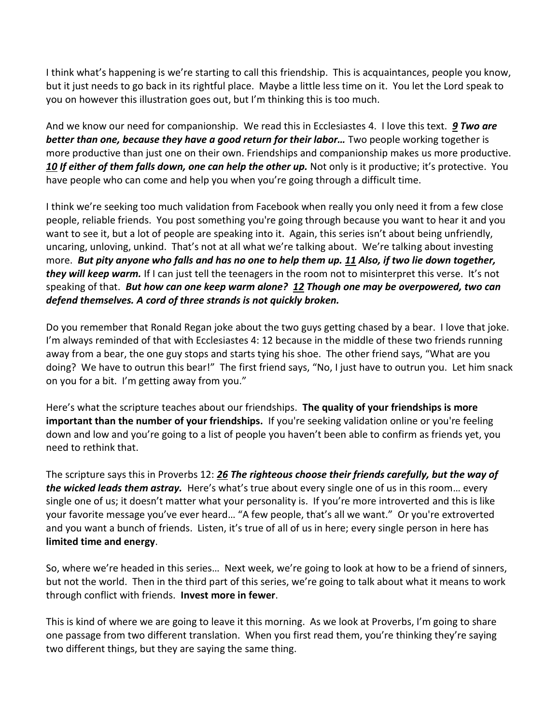I think what's happening is we're starting to call this friendship. This is acquaintances, people you know, but it just needs to go back in its rightful place. Maybe a little less time on it. You let the Lord speak to you on however this illustration goes out, but I'm thinking this is too much.

And we know our need for companionship. We read this in Ecclesiastes 4. I love this text. *[9](http://www.studylight.org/desk/?q=ec%204:9&t1=en_niv&sr=1) Two are better than one, because they have a good return for their labor…* Two people working together is more productive than just one on their own. Friendships and companionship makes us more productive. *[10](http://www.studylight.org/desk/?q=ec%204:10&t1=en_niv&sr=1) If either of them falls down, one can help the other up.* Not only is it productive; it's protective. You have people who can come and help you when you're going through a difficult time.

I think we're seeking too much validation from Facebook when really you only need it from a few close people, reliable friends. You post something you're going through because you want to hear it and you want to see it, but a lot of people are speaking into it. Again, this series isn't about being unfriendly, uncaring, unloving, unkind. That's not at all what we're talking about. We're talking about investing more. *But pity anyone who falls and has no one to help them up. [11](http://www.studylight.org/desk/?q=ec%204:11&t1=en_niv&sr=1) Also, if two lie down together, they will keep warm.* If I can just tell the teenagers in the room not to misinterpret this verse. It's not speaking of that. *But how can one keep warm alone? [12](http://www.studylight.org/desk/?q=ec%204:12&t1=en_niv&sr=1) Though one may be overpowered, two can defend themselves. A cord of three strands is not quickly broken.*

Do you remember that Ronald Regan joke about the two guys getting chased by a bear. I love that joke. I'm always reminded of that with Ecclesiastes 4: 12 because in the middle of these two friends running away from a bear, the one guy stops and starts tying his shoe. The other friend says, "What are you doing? We have to outrun this bear!" The first friend says, "No, I just have to outrun you. Let him snack on you for a bit. I'm getting away from you."

Here's what the scripture teaches about our friendships. **The quality of your friendships is more important than the number of your friendships.** If you're seeking validation online or you're feeling down and low and you're going to a list of people you haven't been able to confirm as friends yet, you need to rethink that.

The scripture says this in Proverbs 12: *[26](http://www.studylight.org/desk/?q=pr%2012:26&t1=en_niv&sr=1) The righteous choose their friends carefully, but the way of the wicked leads them astray.* Here's what's true about every single one of us in this room… every single one of us; it doesn't matter what your personality is. If you're more introverted and this is like your favorite message you've ever heard… "A few people, that's all we want." Or you're extroverted and you want a bunch of friends. Listen, it's true of all of us in here; every single person in here has **limited time and energy**.

So, where we're headed in this series… Next week, we're going to look at how to be a friend of sinners, but not the world. Then in the third part of this series, we're going to talk about what it means to work through conflict with friends. **Invest more in fewer**.

This is kind of where we are going to leave it this morning. As we look at Proverbs, I'm going to share one passage from two different translation. When you first read them, you're thinking they're saying two different things, but they are saying the same thing.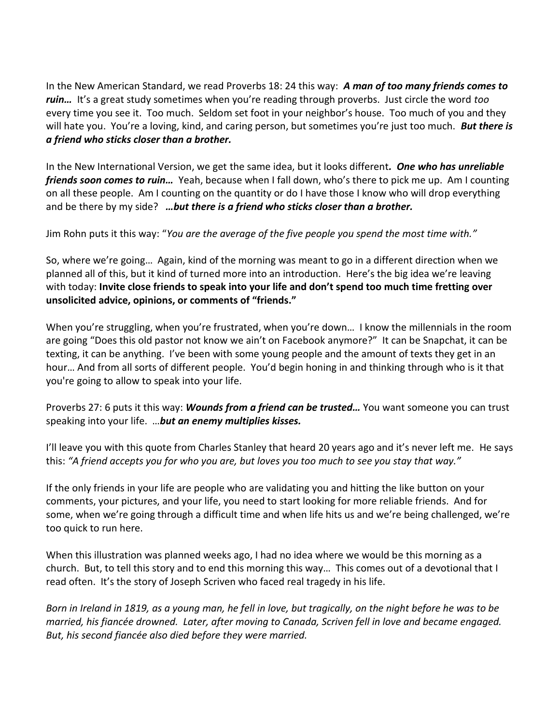In the New American Standard, we read Proverbs 18: 24 this way: *A man of too many friends comes to ruin…* It's a great study sometimes when you're reading through proverbs. Just circle the word *too* every time you see it. Too much. Seldom set foot in your neighbor's house. Too much of you and they will hate you. You're a loving, kind, and caring person, but sometimes you're just too much. *But there is a friend who sticks closer than a brother.*

In the New International Version, we get the same idea, but it looks different*. One who has unreliable friends soon comes to ruin…* Yeah, because when I fall down, who's there to pick me up. Am I counting on all these people. Am I counting on the quantity or do I have those I know who will drop everything and be there by my side? *…but there is a friend who sticks closer than a brother.*

Jim Rohn puts it this way: "*You are the average of the five people you spend the most time with."* 

So, where we're going… Again, kind of the morning was meant to go in a different direction when we planned all of this, but it kind of turned more into an introduction. Here's the big idea we're leaving with today: **Invite close friends to speak into your life and don't spend too much time fretting over unsolicited advice, opinions, or comments of "friends."**

When you're struggling, when you're frustrated, when you're down… I know the millennials in the room are going "Does this old pastor not know we ain't on Facebook anymore?" It can be Snapchat, it can be texting, it can be anything. I've been with some young people and the amount of texts they get in an hour… And from all sorts of different people. You'd begin honing in and thinking through who is it that you're going to allow to speak into your life.

Proverbs 27: 6 puts it this way: *Wounds from a friend can be trusted…* You want someone you can trust speaking into your life. …*but an enemy multiplies kisses.*

I'll leave you with this quote from Charles Stanley that heard 20 years ago and it's never left me. He says this: *"A friend accepts you for who you are, but loves you too much to see you stay that way."*

If the only friends in your life are people who are validating you and hitting the like button on your comments, your pictures, and your life, you need to start looking for more reliable friends. And for some, when we're going through a difficult time and when life hits us and we're being challenged, we're too quick to run here.

When this illustration was planned weeks ago, I had no idea where we would be this morning as a church. But, to tell this story and to end this morning this way… This comes out of a devotional that I read often. It's the story of Joseph Scriven who faced real tragedy in his life.

*Born in Ireland in 1819, as a young man, he fell in love, but tragically, on the night before he was to be married, his fiancée drowned. Later, after moving to Canada, Scriven fell in love and became engaged. But, his second fiancée also died before they were married.*